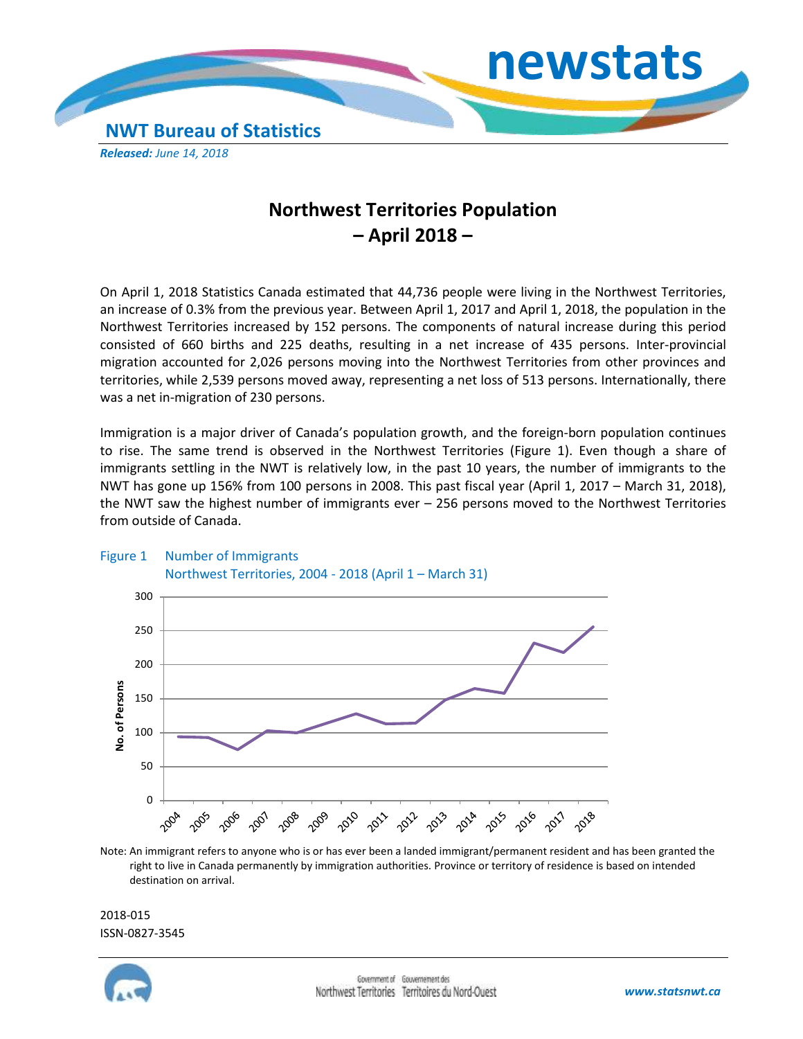

## **Northwest Territories Population – April 2018 –**

On April 1, 2018 Statistics Canada estimated that 44,736 people were living in the Northwest Territories, an increase of 0.3% from the previous year. Between April 1, 2017 and April 1, 2018, the population in the Northwest Territories increased by 152 persons. The components of natural increase during this period consisted of 660 births and 225 deaths, resulting in a net increase of 435 persons. Inter-provincial migration accounted for 2,026 persons moving into the Northwest Territories from other provinces and territories, while 2,539 persons moved away, representing a net loss of 513 persons. Internationally, there was a net in-migration of 230 persons.

Immigration is a major driver of Canada's population growth, and the foreign-born population continues to rise. The same trend is observed in the Northwest Territories (Figure 1). Even though a share of immigrants settling in the NWT is relatively low, in the past 10 years, the number of immigrants to the NWT has gone up 156% from 100 persons in 2008. This past fiscal year (April 1, 2017 – March 31, 2018), the NWT saw the highest number of immigrants ever – 256 persons moved to the Northwest Territories from outside of Canada.



## Figure 1 Number of Immigrants Northwest Territories, 2004 - 2018 (April 1 – March 31)

Note: An immigrant refers to anyone who is or has ever been a landed immigrant/permanent resident and has been granted the right to live in Canada permanently by immigration authorities. Province or territory of residence is based on intended destination on arrival.

2018-015 ISSN-0827-3545

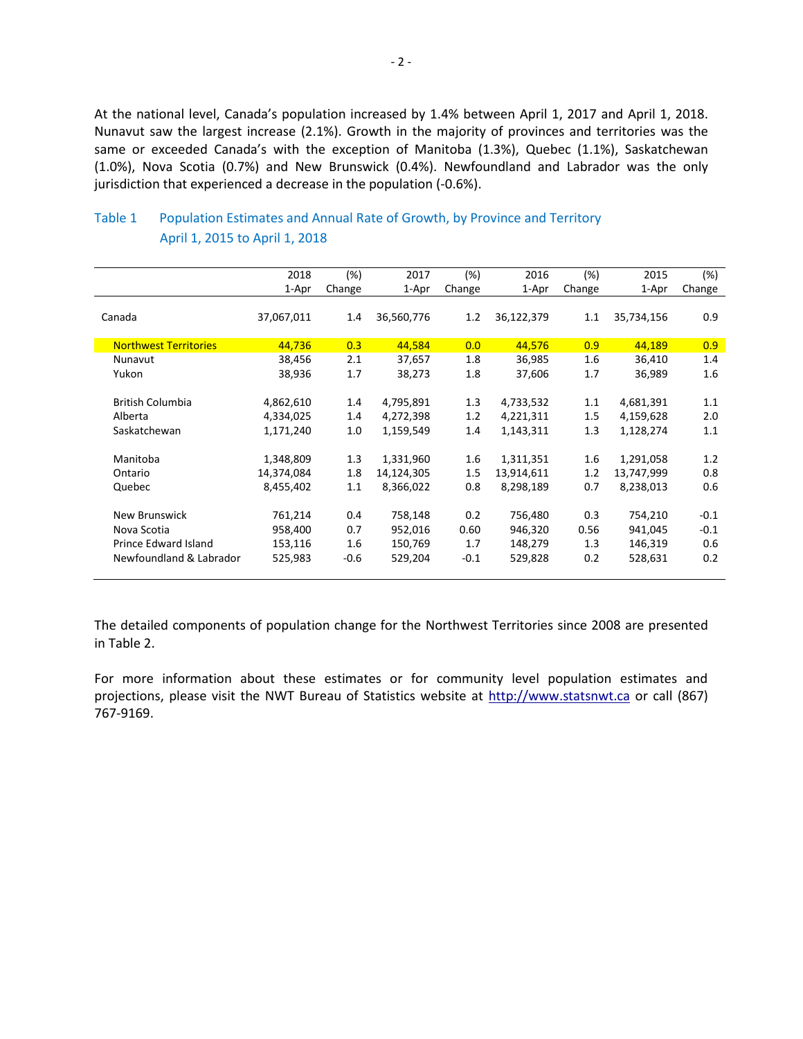At the national level, Canada's population increased by 1.4% between April 1, 2017 and April 1, 2018. Nunavut saw the largest increase (2.1%). Growth in the majority of provinces and territories was the same or exceeded Canada's with the exception of Manitoba (1.3%), Quebec (1.1%), Saskatchewan (1.0%), Nova Scotia (0.7%) and New Brunswick (0.4%). Newfoundland and Labrador was the only jurisdiction that experienced a decrease in the population (-0.6%).

|                              | 2018       | (%)    | 2017       | (%)     | 2016       | (%)    | 2015       | (%)    |
|------------------------------|------------|--------|------------|---------|------------|--------|------------|--------|
|                              | 1-Apr      | Change | 1-Apr      | Change  | 1-Apr      | Change | 1-Apr      | Change |
|                              |            |        |            |         |            |        |            |        |
| Canada                       | 37,067,011 | 1.4    | 36,560,776 | 1.2     | 36,122,379 | 1.1    | 35,734,156 | 0.9    |
|                              |            |        |            |         |            |        |            |        |
| <b>Northwest Territories</b> | 44,736     | 0.3    | 44,584     | 0.0     | 44,576     | 0.9    | 44,189     | 0.9    |
| Nunavut                      | 38,456     | 2.1    | 37,657     | 1.8     | 36,985     | 1.6    | 36,410     | 1.4    |
| Yukon                        | 38,936     | 1.7    | 38,273     | 1.8     | 37,606     | 1.7    | 36,989     | 1.6    |
|                              |            |        |            |         |            |        |            |        |
| <b>British Columbia</b>      | 4,862,610  | 1.4    | 4,795,891  | 1.3     | 4,733,532  | 1.1    | 4,681,391  | 1.1    |
| Alberta                      | 4,334,025  | 1.4    | 4,272,398  | 1.2     | 4,221,311  | 1.5    | 4,159,628  | 2.0    |
| Saskatchewan                 | 1,171,240  | 1.0    | 1,159,549  | 1.4     | 1,143,311  | 1.3    | 1,128,274  | 1.1    |
|                              |            |        |            |         |            |        |            |        |
| Manitoba                     | 1,348,809  | 1.3    | 1,331,960  | 1.6     | 1,311,351  | 1.6    | 1,291,058  | 1.2    |
| Ontario                      | 14,374,084 | 1.8    | 14,124,305 | $1.5\,$ | 13,914,611 | 1.2    | 13,747,999 | 0.8    |
| Quebec                       | 8,455,402  | 1.1    | 8,366,022  | 0.8     | 8,298,189  | 0.7    | 8,238,013  | 0.6    |
|                              |            |        |            |         |            |        |            |        |
| <b>New Brunswick</b>         | 761,214    | 0.4    | 758,148    | 0.2     | 756,480    | 0.3    | 754,210    | $-0.1$ |
| Nova Scotia                  | 958,400    | 0.7    | 952,016    | 0.60    | 946,320    | 0.56   | 941,045    | $-0.1$ |
| Prince Edward Island         | 153,116    | 1.6    | 150,769    | 1.7     | 148,279    | 1.3    | 146,319    | 0.6    |
| Newfoundland & Labrador      | 525,983    | $-0.6$ | 529,204    | $-0.1$  | 529,828    | 0.2    | 528,631    | 0.2    |
|                              |            |        |            |         |            |        |            |        |

## Table 1 Population Estimates and Annual Rate of Growth, by Province and Territory April 1, 2015 to April 1, 2018

The detailed components of population change for the Northwest Territories since 2008 are presented in Table 2.

For more information about these estimates or for community level population estimates and projections, please visit the NWT Bureau of Statistics website at http://www.statsnwt.ca or call (867) 767-9169.